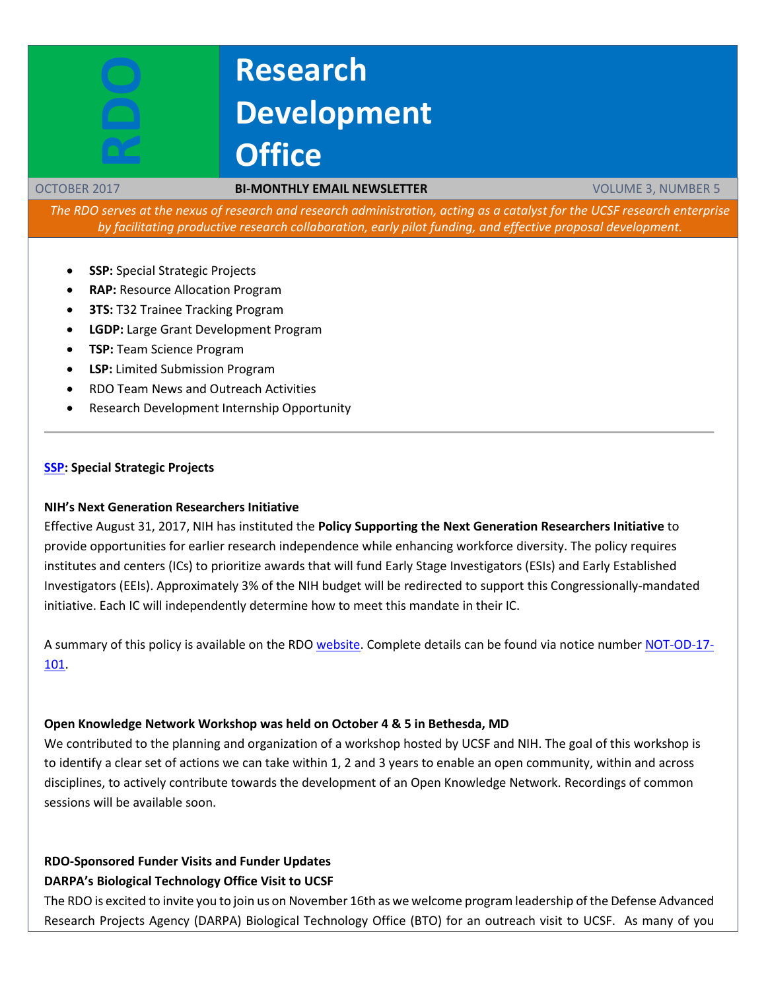# **Research Development Office**

#### OCTOBER 2017 **BI-MONTHLY EMAIL NEWSLETTER** VOLUME 3, NUMBER 5

*The RDO serves at the nexus of research and research administration, acting as a catalyst for the UCSF research enterprise by facilitating productive research collaboration, early pilot funding, and effective proposal development.*

- **SSP:** Special Strategic Projects
- **RAP:** Resource Allocation Program
- **3TS: T32 Trainee Tracking Program**
- **LGDP:** Large Grant Development Program
- **TSP:** Team Science Program
- **LSP:** Limited Submission Program
- RDO Team News and Outreach Activities
- Research Development Internship Opportunity

#### **[SSP:](https://rap.ucsf.edu/) Special Strategic Projects**

#### **NIH's Next Generation Researchers Initiative**

Effective August 31, 2017, NIH has instituted the **Policy Supporting the Next Generation Researchers Initiative** to provide opportunities for earlier research independence while enhancing workforce diversity. The policy requires institutes and centers (ICs) to prioritize awards that will fund Early Stage Investigators (ESIs) and Early Established Investigators (EEIs). Approximately 3% of the NIH budget will be redirected to support this Congressionally-mandated initiative. Each IC will independently determine how to meet this mandate in their IC.

A summary of this policy is available on the RDO [website.](http://rdo.ucsf.edu/outside-resources) Complete details can be found via notice numbe[r NOT-OD-17-](https://grants.nih.gov/grants/guide/notice-files/NOT-OD-17-101.html) [101.](https://grants.nih.gov/grants/guide/notice-files/NOT-OD-17-101.html)

#### **Open Knowledge Network Workshop was held on October 4 & 5 in Bethesda, MD**

We contributed to the planning and organization of a workshop hosted by UCSF and NIH. The goal of this workshop is to identify a clear set of actions we can take within 1, 2 and 3 years to enable an open community, within and across disciplines, to actively contribute towards the development of an Open Knowledge Network. Recordings of common sessions will be available soon.

## **RDO-Sponsored Funder Visits and Funder Updates**

#### **DARPA's Biological Technology Office Visit to UCSF**

The RDO is excited to invite you to join us on November 16th as we welcome program leadership of the Defense Advanced Research Projects Agency (DARPA) Biological Technology Office (BTO) for an outreach visit to UCSF. As many of you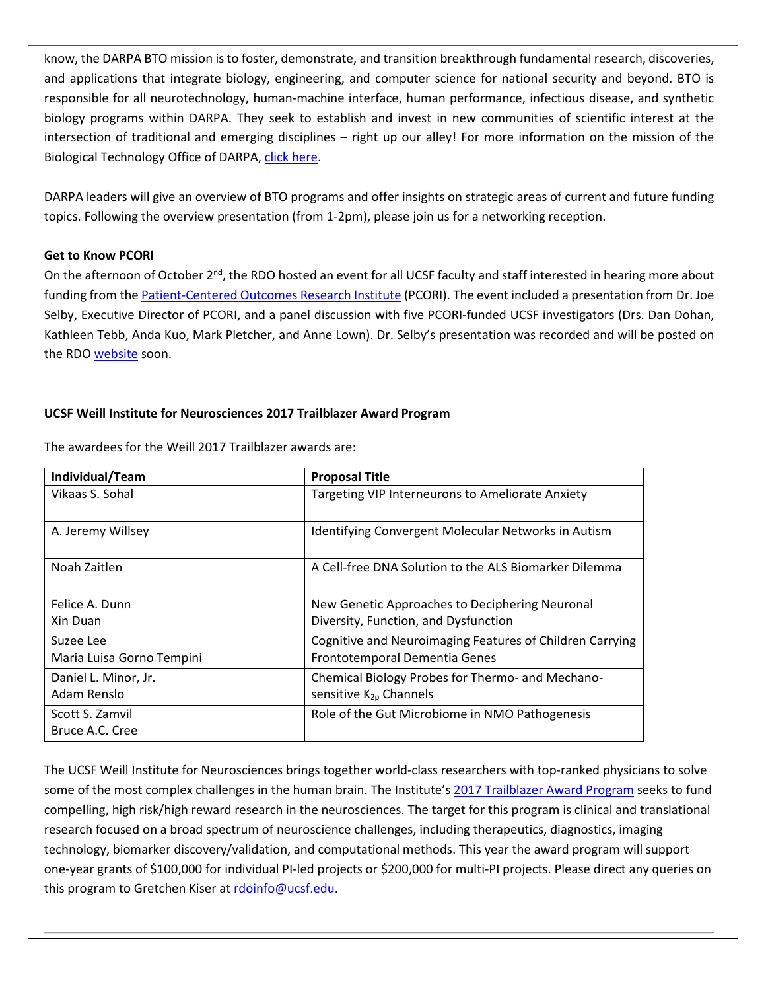know, the DARPA BTO mission is to foster, demonstrate, and transition breakthrough fundamental research, discoveries, and applications that integrate biology, engineering, and computer science for national security and beyond. BTO is responsible for all neurotechnology, human-machine interface, human performance, infectious disease, and synthetic biology programs within DARPA. They seek to establish and invest in new communities of scientific interest at the intersection of traditional and emerging disciplines – right up our alley! For more information on the mission of the Biological Technology Office of DARPA[, click here.](https://www.darpa.mil/about-us/offices/bto/more)

DARPA leaders will give an overview of BTO programs and offer insights on strategic areas of current and future funding topics. Following the overview presentation (from 1-2pm), please join us for a networking reception.

#### **Get to Know PCORI**

On the afternoon of October 2<sup>nd</sup>, the RDO hosted an event for all UCSF faculty and staff interested in hearing more about funding from the [Patient-Centered Outcomes Research Institute](https://www.pcori.org/) (PCORI). The event included a presentation from Dr. Joe Selby, Executive Director of PCORI, and a panel discussion with five PCORI-funded UCSF investigators (Drs. Dan Dohan, Kathleen Tebb, Anda Kuo, Mark Pletcher, and Anne Lown). Dr. Selby's presentation was recorded and will be posted on the RDO [website](http://rdo.ucsf.edu/event-video-recordings) soon.

### **UCSF Weill Institute for Neurosciences 2017 Trailblazer Award Program**

| Individual/Team           | <b>Proposal Title</b>                                    |
|---------------------------|----------------------------------------------------------|
| Vikaas S. Sohal           | Targeting VIP Interneurons to Ameliorate Anxiety         |
|                           |                                                          |
| A. Jeremy Willsey         | Identifying Convergent Molecular Networks in Autism      |
| Noah Zaitlen              | A Cell-free DNA Solution to the ALS Biomarker Dilemma    |
| Felice A. Dunn            | New Genetic Approaches to Deciphering Neuronal           |
| Xin Duan                  | Diversity, Function, and Dysfunction                     |
| Suzee Lee                 | Cognitive and Neuroimaging Features of Children Carrying |
| Maria Luisa Gorno Tempini | Frontotemporal Dementia Genes                            |
| Daniel L. Minor, Jr.      | Chemical Biology Probes for Thermo- and Mechano-         |
| Adam Renslo               | sensitive K <sub>2p</sub> Channels                       |
| Scott S. Zamvil           | Role of the Gut Microbiome in NMO Pathogenesis           |
| Bruce A.C. Cree           |                                                          |

The awardees for the Weill 2017 Trailblazer awards are:

The UCSF Weill Institute for Neurosciences brings together world-class researchers with top-ranked physicians to solve some of the most complex challenges in the human brain. The Institute's [2017 Trailblazer Award Program](http://rdo.ucsf.edu/news/2017-ucsf-weill-institute-neurosciences-trailblazer-award-program) seeks to fund compelling, high risk/high reward research in the neurosciences. The target for this program is clinical and translational research focused on a broad spectrum of neuroscience challenges, including therapeutics, diagnostics, imaging technology, biomarker discovery/validation, and computational methods. This year the award program will support one-year grants of \$100,000 for individual PI-led projects or \$200,000 for multi-PI projects. Please direct any queries on this program to Gretchen Kiser at [rdoinfo@ucsf.edu.](mailto:rdoinfo@ucsf.edu)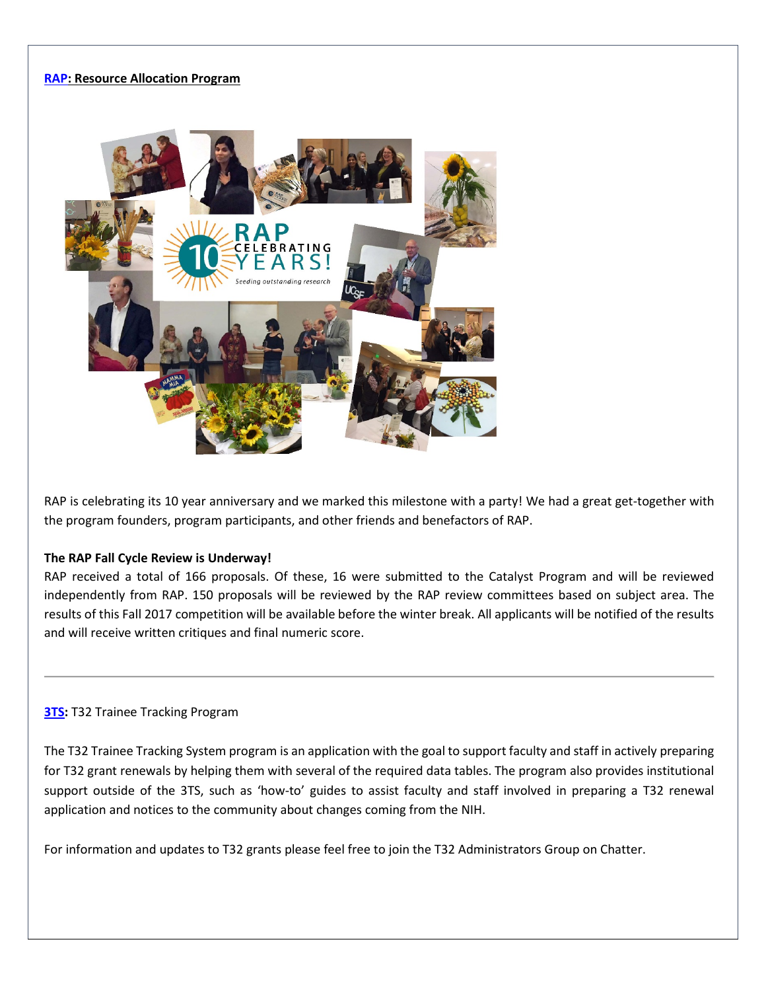#### **[RAP:](https://rap.ucsf.edu/) Resource Allocation Program**



RAP is celebrating its 10 year anniversary and we marked this milestone with a party! We had a great get-together with the program founders, program participants, and other friends and benefactors of RAP.

#### **The RAP Fall Cycle Review is Underway!**

RAP received a total of 166 proposals. Of these, 16 were submitted to the Catalyst Program and will be reviewed independently from RAP. 150 proposals will be reviewed by the RAP review committees based on subject area. The results of this Fall 2017 competition will be available before the winter break. All applicants will be notified of the results and will receive written critiques and final numeric score.

#### **[3TS:](https://accelerate.ucsf.edu/training/t32-resources#tracking)** T32 Trainee Tracking Program

The T32 Trainee Tracking System program is an application with the goal to support faculty and staff in actively preparing for T32 grant renewals by helping them with several of the required data tables. The program also provides institutional support outside of the 3TS, such as 'how-to' guides to assist faculty and staff involved in preparing a T32 renewal application and notices to the community about changes coming from the NIH.

For information and updates to T32 grants please feel free to join the T32 Administrators Group on Chatter.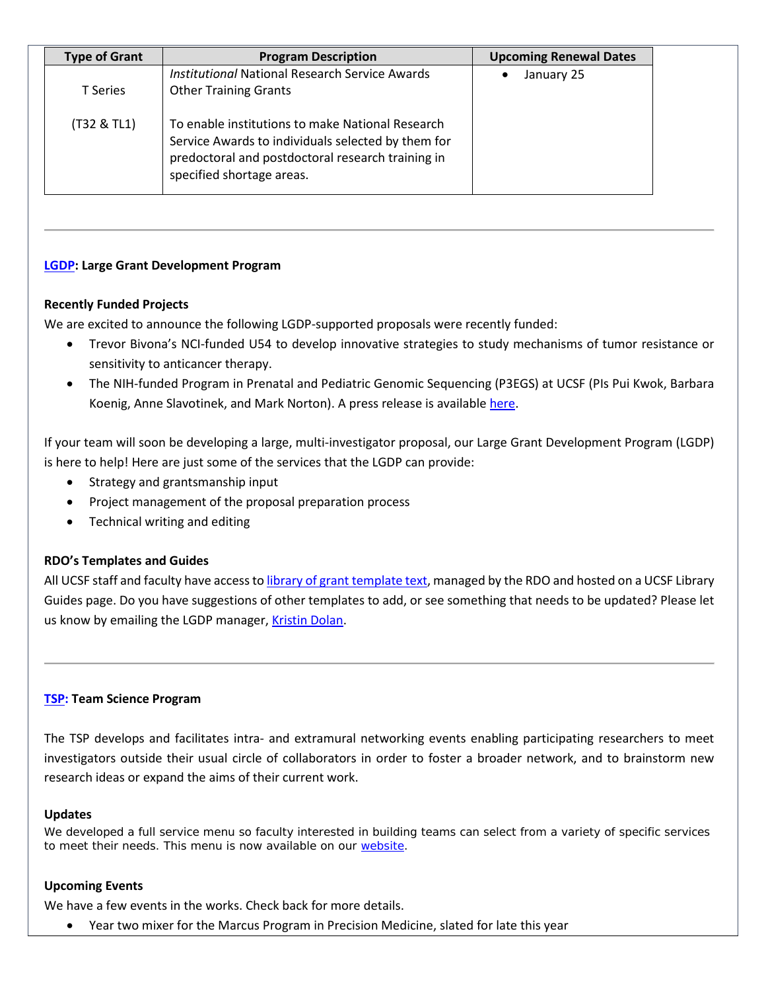| <b>Type of Grant</b> | <b>Program Description</b>                                                                                                                                                               | <b>Upcoming Renewal Dates</b> |
|----------------------|------------------------------------------------------------------------------------------------------------------------------------------------------------------------------------------|-------------------------------|
| <b>T</b> Series      | <b>Institutional National Research Service Awards</b><br><b>Other Training Grants</b>                                                                                                    | January 25<br>$\bullet$       |
| (T32 & TL1)          | To enable institutions to make National Research<br>Service Awards to individuals selected by them for<br>predoctoral and postdoctoral research training in<br>specified shortage areas. |                               |

### **[LGDP:](http://rdo.ucsf.edu/large-grant-development-program-lgdp) Large Grant Development Program**

#### **Recently Funded Projects**

We are excited to announce the following LGDP-supported proposals were recently funded:

- Trevor Bivona's NCI-funded U54 to develop innovative strategies to study mechanisms of tumor resistance or sensitivity to anticancer therapy.
- The NIH-funded Program in Prenatal and Pediatric Genomic Sequencing (P3EGS) at UCSF (PIs Pui Kwok, Barbara Koenig, Anne Slavotinek, and Mark Norton). A press release is available [here.](https://www.ucsf.edu/news/2017/08/408181/new-ucsf-program-aims-advance-equity-genomic-medicine-bay-area)

If your team will soon be developing a large, multi-investigator proposal, our Large Grant Development Program (LGDP) is here to help! Here are just some of the services that the LGDP can provide:

- Strategy and grantsmanship input
- Project management of the proposal preparation process
- Technical writing and editing

#### **RDO's Templates and Guides**

All UCSF staff and faculty have access t[o library of grant template text,](http://guides.ucsf.edu/rdo) managed by the RDO and hosted on a UCSF Library Guides page. Do you have suggestions of other templates to add, or see something that needs to be updated? Please let us know by emailing the LGDP manager, [Kristin Dolan.](mailto:kristin.dolan@ucsf.edu)

#### **[TSP:](http://rdo.ucsf.edu/team-science-research-innovation-program-tsrip) Team Science Program**

The TSP develops and facilitates intra- and extramural networking events enabling participating researchers to meet investigators outside their usual circle of collaborators in order to foster a broader network, and to brainstorm new research ideas or expand the aims of their current work.

#### **Updates**

We developed a full service menu so faculty interested in building teams can select from a variety of specific services to meet their needs. This menu is now available on our [website.](http://rdo.ucsf.edu/team-science-program)

#### **Upcoming Events**

We have a few events in the works. Check back for more details.

• Year two mixer for the Marcus Program in Precision Medicine, slated for late this year